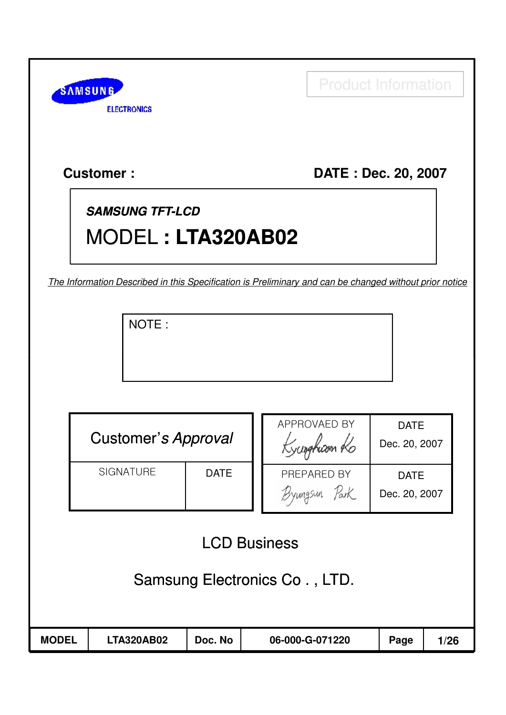| <b>SAMSUNG</b> |                    |
|----------------|--------------------|
|                | <b>ELECTRONICS</b> |

Product Information

## **Customer : HUMAX DATE : Dec. 20, 2007**

# **SAMSUNG TFT-LCD** MODEL **: LTA320AB02**

The Information Described in this Specification is Preliminary and can be changed without prior notice

NOTE :

|                               | <b>Customer's Approval</b>      |         |  | APPROVAED BY<br>Kyunghison Ro | <b>DATE</b><br>Dec. 20, 2007 |      |  |
|-------------------------------|---------------------------------|---------|--|-------------------------------|------------------------------|------|--|
|                               | <b>SIGNATURE</b><br><b>DATE</b> |         |  | PREPARED BY<br>Byungsun Park  | <b>DATE</b><br>Dec. 20, 2007 |      |  |
| <b>LCD Business</b>           |                                 |         |  |                               |                              |      |  |
| Samsung Electronics Co., LTD. |                                 |         |  |                               |                              |      |  |
| <b>MODEL</b>                  | <b>LTA320AB02</b>               | Doc. No |  | 06-000-G-071220               | Page                         | 1/26 |  |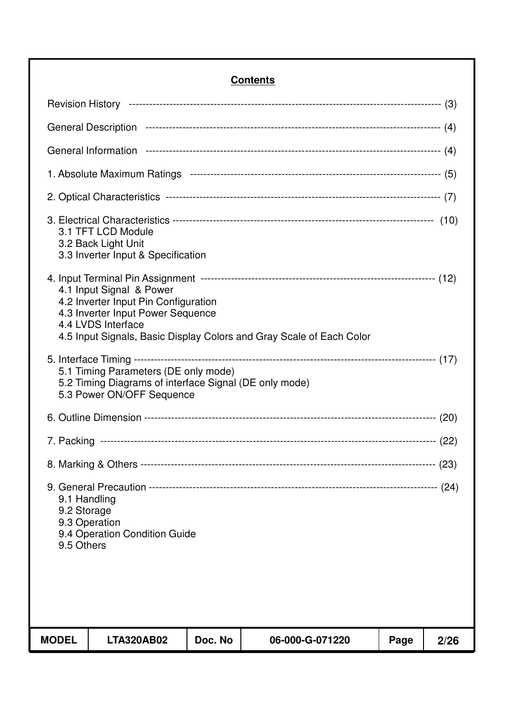#### **Contents**

| <b>MODEL</b>                              | <b>LTA320AB02</b>                                                                                                           | Doc. No | 06-000-G-071220                                                      | Page | 2/26 |
|-------------------------------------------|-----------------------------------------------------------------------------------------------------------------------------|---------|----------------------------------------------------------------------|------|------|
|                                           |                                                                                                                             |         |                                                                      |      |      |
| 9.1 Handling<br>9.2 Storage<br>9.5 Others | 9.3 Operation<br>9.4 Operation Condition Guide                                                                              |         |                                                                      |      |      |
|                                           |                                                                                                                             |         |                                                                      |      |      |
|                                           |                                                                                                                             |         |                                                                      |      |      |
|                                           |                                                                                                                             |         |                                                                      |      |      |
|                                           | 5.1 Timing Parameters (DE only mode)<br>5.2 Timing Diagrams of interface Signal (DE only mode)<br>5.3 Power ON/OFF Sequence |         |                                                                      |      |      |
|                                           | 4.1 Input Signal & Power<br>4.2 Inverter Input Pin Configuration<br>4.3 Inverter Input Power Sequence<br>4.4 LVDS Interface |         | 4.5 Input Signals, Basic Display Colors and Gray Scale of Each Color |      |      |
|                                           | 3.1 TFT LCD Module<br>3.2 Back Light Unit<br>3.3 Inverter Input & Specification                                             |         |                                                                      |      |      |
|                                           |                                                                                                                             |         |                                                                      |      |      |
|                                           |                                                                                                                             |         |                                                                      |      |      |
|                                           |                                                                                                                             |         |                                                                      |      |      |
|                                           |                                                                                                                             |         |                                                                      |      |      |
|                                           |                                                                                                                             |         |                                                                      |      |      |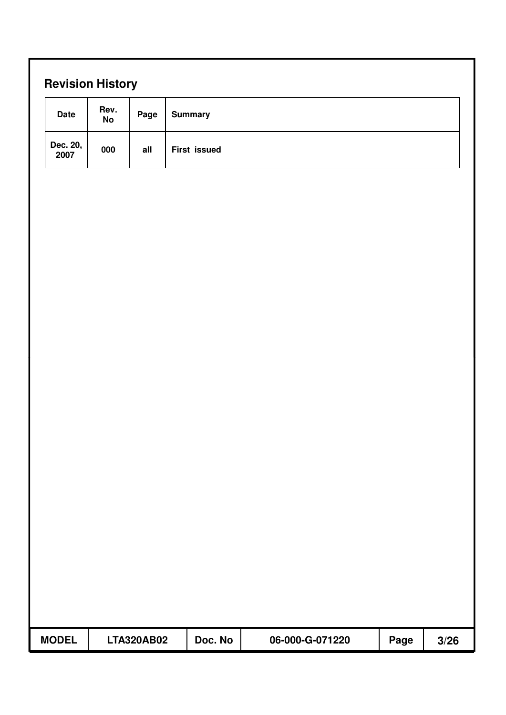| <b>Date</b>      | Rev.<br>No | Page | <b>Summary</b>      |  |  |
|------------------|------------|------|---------------------|--|--|
| Dec. 20,<br>2007 | 000        | all  | <b>First issued</b> |  |  |
|                  |            |      |                     |  |  |
|                  |            |      |                     |  |  |
|                  |            |      |                     |  |  |
|                  |            |      |                     |  |  |
|                  |            |      |                     |  |  |
|                  |            |      |                     |  |  |
|                  |            |      |                     |  |  |
|                  |            |      |                     |  |  |
|                  |            |      |                     |  |  |
|                  |            |      |                     |  |  |
|                  |            |      |                     |  |  |
|                  |            |      |                     |  |  |
|                  |            |      |                     |  |  |
|                  |            |      |                     |  |  |
|                  |            |      |                     |  |  |
|                  |            |      |                     |  |  |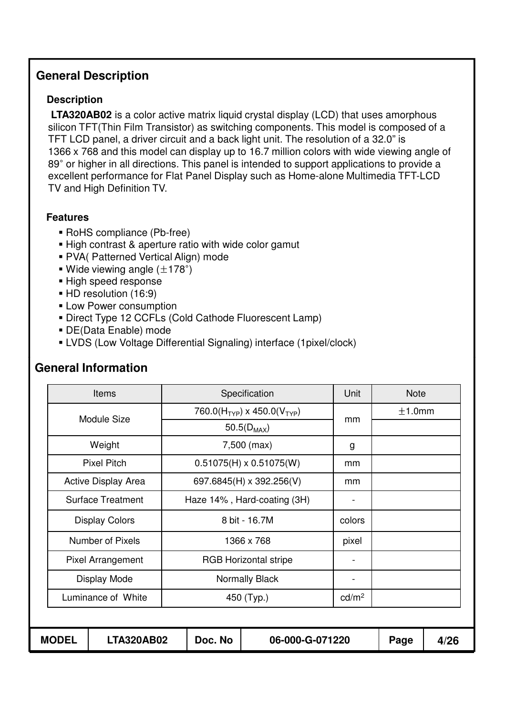#### **General Description**

#### **Description**

**LTA320AB02** is a color active matrix liquid crystal display (LCD) that uses amorphous silicon TFT(Thin Film Transistor) as switching components. This model is composed of a TFT LCD panel, a driver circuit and a back light unit. The resolution of a 32.0" is 1366 x 768 and this model can display up to 16.7 million colors with wide viewing angle of 89° or higher in all directions. This panel is intended to support applications to provide a excellent performance for Flat Panel Display such as Home-alone Multimedia TFT-LCD TV and High Definition TV.

#### **Features**

- ! RoHS compliance (Pb-free)
- ! High contrast & aperture ratio with wide color gamut
- ! PVA( Patterned Vertical Align) mode
- **.** Wide viewing angle  $(\pm 178^\circ)$
- **E** High speed response
- **HD resolution (16:9)**
- **ELOW Power consumption**
- **E** Direct Type 12 CCFLs (Cold Cathode Fluorescent Lamp)
- ! DE(Data Enable) mode
- ! LVDS (Low Voltage Differential Signaling) interface (1pixel/clock)

|              | <b>Items</b>               |                                                     | Specification                  | Unit              | <b>Note</b> |      |
|--------------|----------------------------|-----------------------------------------------------|--------------------------------|-------------------|-------------|------|
|              | Module Size                | 760.0(H <sub>TYP</sub> ) x 450.0(V <sub>TYP</sub> ) |                                | mm                | ±1.0mm      |      |
|              |                            |                                                     | 50.5( $D_{MAX}$ )              |                   |             |      |
|              | Weight                     |                                                     | 7,500 (max)                    | g                 |             |      |
|              | <b>Pixel Pitch</b>         |                                                     | $0.51075(H) \times 0.51075(W)$ | mm                |             |      |
|              | <b>Active Display Area</b> |                                                     | 697.6845(H) x 392.256(V)       | mm                |             |      |
|              | <b>Surface Treatment</b>   |                                                     | Haze 14%, Hard-coating (3H)    |                   |             |      |
|              | <b>Display Colors</b>      | 8 bit - 16.7M                                       |                                | colors            |             |      |
|              | Number of Pixels           |                                                     | 1366 x 768                     | pixel             |             |      |
|              | <b>Pixel Arrangement</b>   |                                                     | <b>RGB Horizontal stripe</b>   |                   |             |      |
|              | Display Mode               |                                                     | <b>Normally Black</b>          | -                 |             |      |
|              | Luminance of White         | 450 (Typ.)                                          |                                | cd/m <sup>2</sup> |             |      |
|              |                            |                                                     |                                |                   |             |      |
| <b>MODEL</b> | <b>LTA320AB02</b>          | Doc. No                                             | 06-000-G-071220                |                   | Page        | 4/26 |

## **General Information**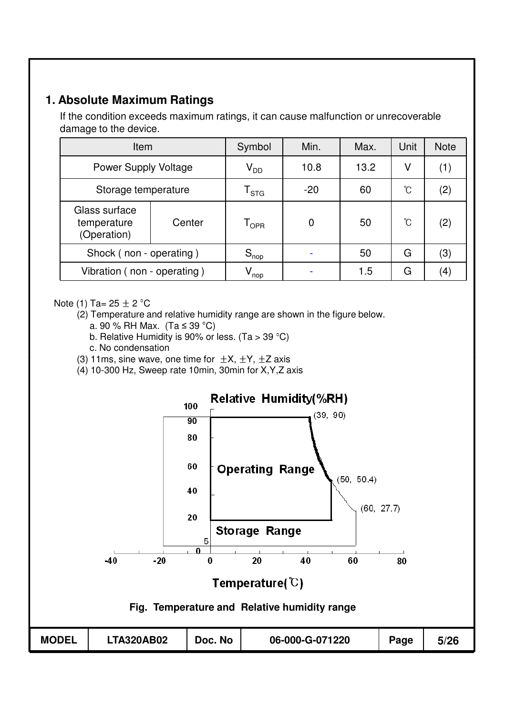#### **1. Absolute Maximum Ratings**

If the condition exceeds maximum ratings, it can cause malfunction or unrecoverable damage to the device.

| Item                                        |                            | Symbol                      | Min.  | Max. | Unit | <b>Note</b> |
|---------------------------------------------|----------------------------|-----------------------------|-------|------|------|-------------|
| <b>Power Supply Voltage</b>                 | $\mathsf{V}_{\mathsf{DD}}$ | 10.8                        | 13.2  | V    | (1)  |             |
| Storage temperature                         |                            | $\mathsf{T}_{\texttt{STG}}$ | $-20$ | 60   | °C   | (2)         |
| Glass surface<br>temperature<br>(Operation) | Center                     | $\mathsf{T}_{\mathsf{OPR}}$ | 0     | 50   | °C   | (2)         |
| Shock (non - operating)                     |                            | $S_{\text{nop}}$            |       | 50   | G    | (3)         |
| Vibration (non - operating)                 |                            | $V_{\mathsf{nop}}$          |       | 1.5  | G    | (4)         |

Note (1) Ta=  $25 \pm 2$  °C

(2) Temperature and relative humidity range are shown in the figure below.

- a. 90 % RH Max. (Ta  $\leq$  39 °C)
- b. Relative Humidity is 90% or less.  $(Ta > 39 °C)$
- c. No condensation
- (3) 11ms, sine wave, one time for  $\pm X$ ,  $\pm Y$ ,  $\pm Z$  axis
- (4) 10-300 Hz, Sweep rate 10min, 30min for X,Y,Z axis

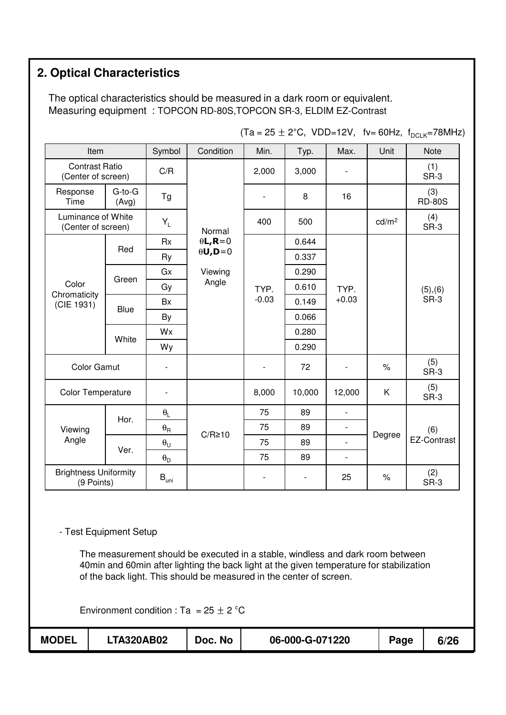## **2. Optical Characteristics**

The optical characteristics should be measured in a dark room or equivalent. Measuring equipment : TOPCON RD-80S,TOPCON SR-3, ELDIM EZ-Contrast

| Item                                        |                       | Symbol                           | Condition                            | Min.                     | Typ.   | Max.                     | Unit   | <b>Note</b>          |             |
|---------------------------------------------|-----------------------|----------------------------------|--------------------------------------|--------------------------|--------|--------------------------|--------|----------------------|-------------|
| <b>Contrast Ratio</b><br>(Center of screen) |                       | C/R                              |                                      | 2,000                    | 3,000  |                          |        | (1)<br>SR-3          |             |
| Response<br>Time                            | $G$ -to- $G$<br>(Avg) | Tg                               | Normal<br>$\theta L$ , R=0           | $\overline{\phantom{a}}$ | 8      | 16                       |        | (3)<br><b>RD-80S</b> |             |
| Luminance of White<br>(Center of screen)    |                       | $Y_L$                            |                                      |                          | 400    | 500                      |        | cd/m <sup>2</sup>    | (4)<br>SR-3 |
|                                             | Red                   | <b>Rx</b>                        |                                      |                          | 0.644  |                          |        |                      |             |
|                                             |                       | Ry                               | $\theta$ <b>U</b> , <b>D</b> =0      |                          | 0.337  |                          |        |                      |             |
|                                             | Green                 | Gx                               | Viewing                              |                          | 0.290  | TYP.<br>$+0.03$          |        | (5), (6)<br>SR-3     |             |
| Color<br>Chromaticity<br>(CIE 1931)         |                       | Gy                               | Angle                                | TYP.                     | 0.610  |                          |        |                      |             |
|                                             | <b>Blue</b>           | <b>Bx</b>                        |                                      | $-0.03$                  | 0.149  |                          |        |                      |             |
|                                             |                       | By                               |                                      |                          | 0.066  |                          |        |                      |             |
|                                             | White                 | Wx                               |                                      |                          |        | 0.280                    |        |                      |             |
|                                             |                       | Wy                               |                                      |                          |        | 0.290                    |        |                      |             |
| <b>Color Gamut</b>                          |                       |                                  |                                      |                          | 72     |                          | $\%$   | (5)<br>SR-3          |             |
| <b>Color Temperature</b>                    |                       |                                  |                                      | 8,000                    | 10,000 | 12,000                   | Κ      | (5)<br>SR-3          |             |
|                                             | Hor.                  | $\theta_L$                       |                                      | 75                       | 89     | $\overline{\phantom{a}}$ |        |                      |             |
| Viewing                                     |                       | $\theta_{\mathsf{R}}$            | $C/R \ge 10$                         | 75                       | 89     | $\overline{\phantom{a}}$ | Degree | (6)                  |             |
| Angle                                       | Ver.                  | $\boldsymbol{\theta}_\mathsf{U}$ | 75<br>89<br>$\overline{\phantom{a}}$ | <b>EZ-Contrast</b>       |        |                          |        |                      |             |
|                                             |                       | $\boldsymbol{\theta}_\mathsf{D}$ |                                      | 75                       | 89     | $\overline{\phantom{0}}$ |        |                      |             |
| <b>Brightness Uniformity</b><br>(9 Points)  |                       | $\mathsf{B}_{\mathsf{uni}}$      |                                      |                          |        | 25                       | $\%$   | (2)<br>SR-3          |             |

 $(Ta = 25 \pm 2^{\circ}C, \text{ VDD=12V}, \text{fv} = 60\text{Hz}, \text{f}_{DCI K} = 78\text{MHz}$ 

- Test Equipment Setup

The measurement should be executed in a stable, windless and dark room between 40min and 60min after lighting the back light at the given temperature for stabilization of the back light. This should be measured in the center of screen.

Environment condition : Ta =  $25 \pm 2$  °C

| <b>MODEL</b> | <b>LTA320AB02</b> | Doc. No | 06-000-G-071220 | Page | 6/26 |
|--------------|-------------------|---------|-----------------|------|------|
|              |                   |         |                 |      |      |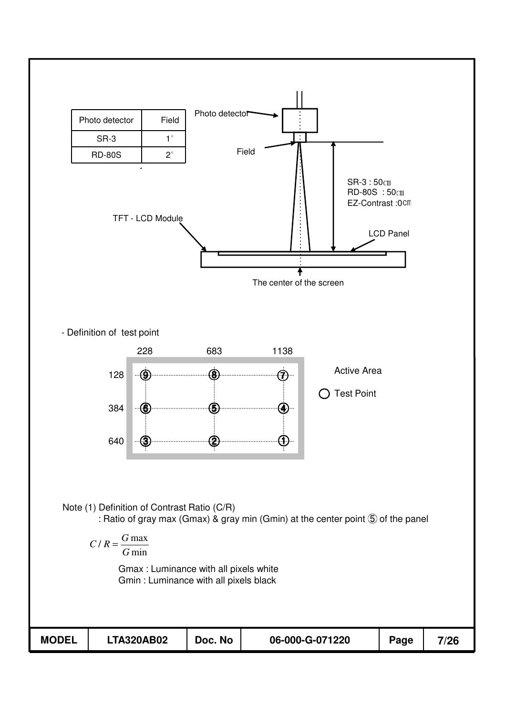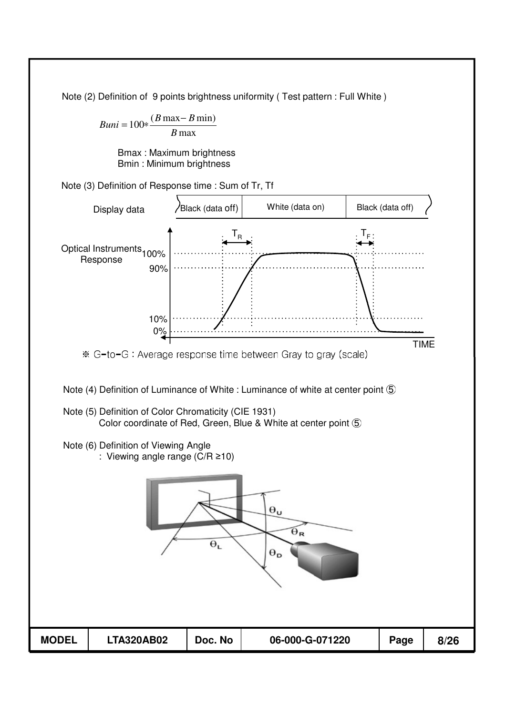Note (2) Definition of 9 points brightness uniformity ( Test pattern : Full White )

 $Buni = 100 * \frac{(B \max - B \min)}{B \max}$  $B$  max

> Bmax : Maximum brightness Bmin : Minimum brightness

Note (3) Definition of Response time : Sum of Tr, Tf

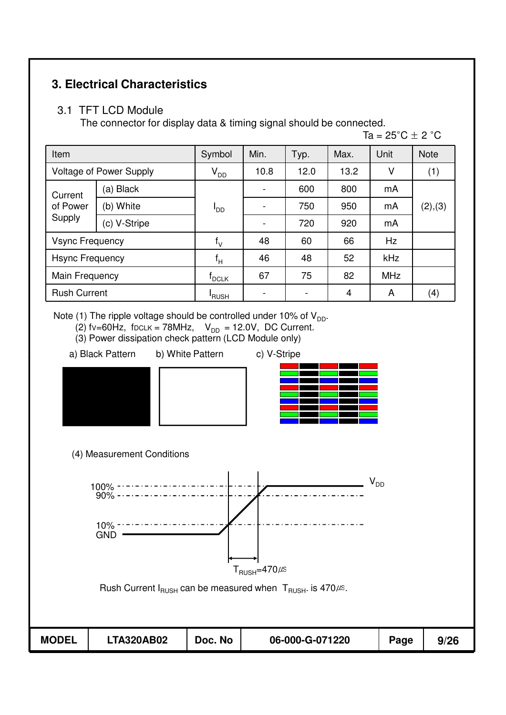## **3. Electrical Characteristics**

#### 3.1 TFT LCD Module

The connector for display data & timing signal should be connected.

Ta =  $25^{\circ}$ C  $\pm$  2  $^{\circ}$ C

| Item                          |                                | Symbol                 | Min. | Typ. | Max. | Unit       | <b>Note</b> |
|-------------------------------|--------------------------------|------------------------|------|------|------|------------|-------------|
|                               | <b>Voltage of Power Supply</b> | $V_{DD}$               | 10.8 | 12.0 | 13.2 | ٧          | (1)         |
| Current<br>of Power<br>Supply | (a) Black                      |                        |      | 600  | 800  | mA         | (2), (3)    |
|                               | (b) White                      | <b>I</b> <sub>DD</sub> |      | 750  | 950  | mA         |             |
|                               | (c) V-Stripe                   |                        |      | 720  | 920  | mA         |             |
| <b>Vsync Frequency</b>        |                                | $f_V$                  | 48   | 60   | 66   | Hz         |             |
| <b>Hsync Frequency</b>        |                                | $f_H$                  | 46   | 48   | 52   | kHz        |             |
| Main Frequency                |                                | <b>PCLK</b>            | 67   | 75   | 82   | <b>MHz</b> |             |
| <b>Rush Current</b>           |                                | 'RUSH                  |      |      | 4    | Α          | (4)         |

Note (1) The ripple voltage should be controlled under 10% of  $V_{DD}$ .

- (2) fv=60Hz, fDCLK = 78MHz,  $V_{DD}$  = 12.0V, DC Current.
- (3) Power dissipation check pattern (LCD Module only)
- a) Black Pattern b) White Pattern c) V-Stripe
- -









Rush Current  $I_{RUSH}$  can be measured when  $T_{RUSH}$ . is 470 $\mu$ s.

| <b>MODEL</b> | <b>LTA320AB02</b> | Doc. No | 06-000-G-071220 | Page | 9/26 |
|--------------|-------------------|---------|-----------------|------|------|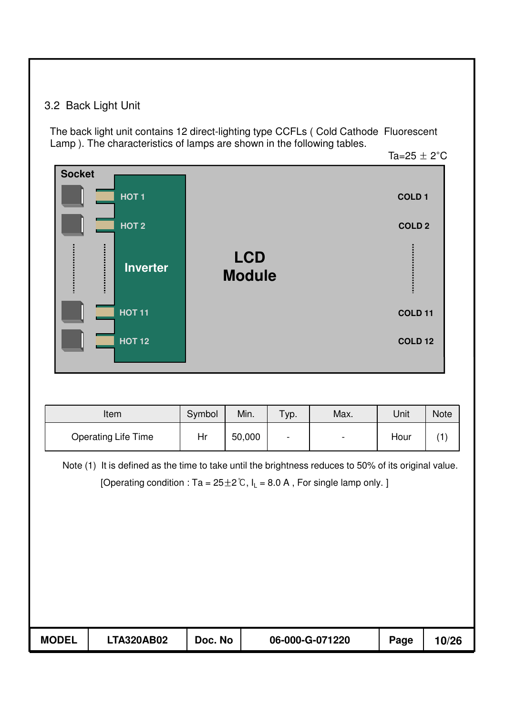## 3.2 Back Light Unit

The back light unit contains 12 direct-lighting type CCFLs ( Cold Cathode Fluorescent Lamp ). The characteristics of lamps are shown in the following tables.

Ta=25  $\pm$  2°C

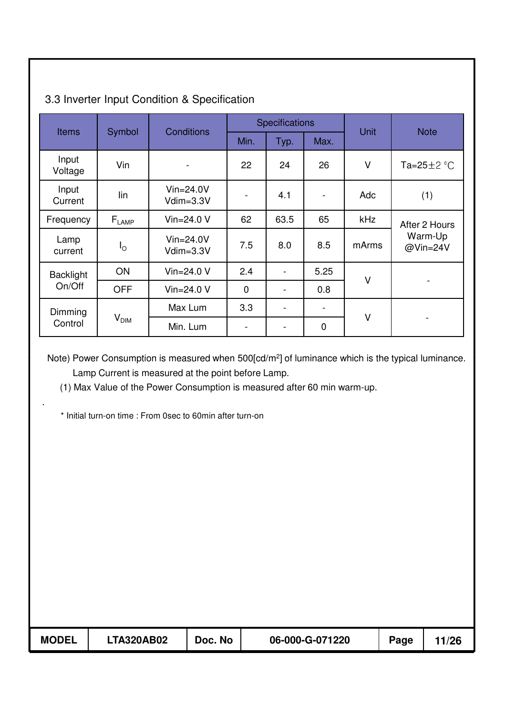|                  |                              | <b>Conditions</b>           |                              | <b>Specifications</b>    |             | <b>Unit</b> | <b>Note</b>         |  |
|------------------|------------------------------|-----------------------------|------------------------------|--------------------------|-------------|-------------|---------------------|--|
| <b>Items</b>     | Symbol                       |                             | Min.                         | Typ.                     | Max.        |             |                     |  |
| Input<br>Voltage | Vin                          |                             | 22                           | 24                       | 26          | V           | Ta=25 $\pm$ 2 °C    |  |
| Input<br>Current | lin                          | $V$ in=24.0V<br>$Vdim=3.3V$ | $\blacksquare$               | 4.1                      |             | Adc         | (1)                 |  |
| Frequency        | $\mathsf{F}_{\mathsf{LAMP}}$ | Vin= $24.0 V$               | 62                           | 63.5                     | 65          | <b>kHz</b>  | After 2 Hours       |  |
| Lamp<br>current  | $I_{\rm O}$                  | $V$ in=24.0V<br>$Vdim=3.3V$ | 7.5                          | 8.0                      | 8.5         | mArms       | Warm-Up<br>@Vin=24V |  |
| <b>Backlight</b> | ON                           | Vin= $24.0 V$               | 2.4                          |                          | 5.25        | V           |                     |  |
| On/Off           | <b>OFF</b>                   | Vin= $24.0 V$               | $\overline{0}$               |                          | 0.8         |             |                     |  |
| Dimming          |                              | Max Lum                     | 3.3                          | $\overline{\phantom{0}}$ |             |             |                     |  |
| Control          | $V_{\text{DIM}}$             | Min. Lum                    | $\qquad \qquad \blacksquare$ | $\overline{\phantom{0}}$ | $\mathbf 0$ | V           |                     |  |

## 3.3 Inverter Input Condition & Specification

Note) Power Consumption is measured when 500[cd/m<sup>2</sup>] of luminance which is the typical luminance. Lamp Current is measured at the point before Lamp.

(1) Max Value of the Power Consumption is measured after 60 min warm-up.

\* Initial turn-on time : From 0sec to 60min after turn-on

.

| <b>MODEL</b> | LTA320AB02 | Doc. No | 06-000-G-071220 | Page | 1/26 |
|--------------|------------|---------|-----------------|------|------|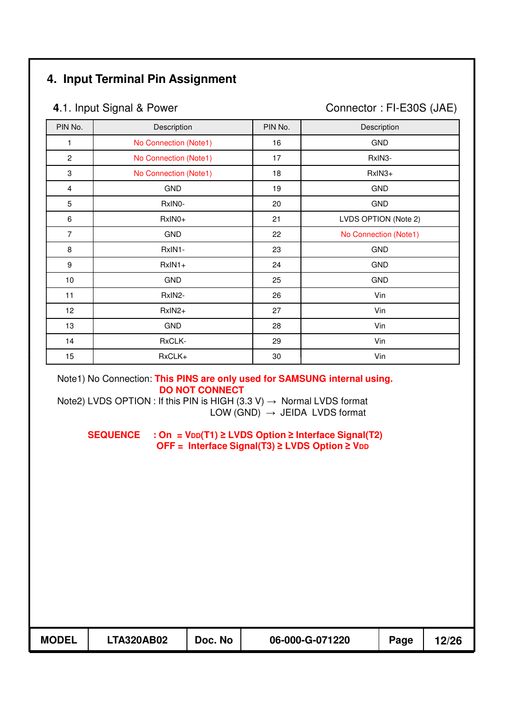## **4. Input Terminal Pin Assignment**

**4.1. Input Signal & Power Connector : FI-E30S (JAE)** 

| PIN No.      | Description           | PIN No. | Description           |
|--------------|-----------------------|---------|-----------------------|
| 1            | No Connection (Note1) | 16      | <b>GND</b>            |
| $\mathbf{2}$ | No Connection (Note1) | 17      | RxIN3-                |
| 3            | No Connection (Note1) | 18      | RxIN3+                |
| 4            | <b>GND</b>            | 19      | <b>GND</b>            |
| 5            | RxIN0-                | 20      | <b>GND</b>            |
| 6            | RxIN0+                | 21      | LVDS OPTION (Note 2)  |
| 7            | <b>GND</b>            | 22      | No Connection (Note1) |
| 8            | RxIN1-                | 23      | <b>GND</b>            |
| 9            | $RxIN1+$              | 24      | <b>GND</b>            |
| 10           | <b>GND</b>            | 25      | <b>GND</b>            |
| 11           | RxIN2-                | 26      | Vin                   |
| 12           | RxIN2+                | 27      | Vin                   |
| 13           | <b>GND</b>            | 28      | Vin                   |
| 14           | RxCLK-                | 29      | Vin                   |
| 15           | RxCLK+                | 30      | Vin                   |

Note1) No Connection: **This PINS are only used for SAMSUNG internal using. DO NOT CONNECT** 

Note2) LVDS OPTION : If this PIN is HIGH  $(3.3 \text{ V}) \rightarrow \text{Normal LVDS}$  format LOW  $(GND) \rightarrow JEIDA$  LVDS format

SEQUENCE : On = V<sub>DD</sub>(T1) ≥ LVDS Option ≥ Interface Signal(T2) **OFF = Interface Signal(T3) ≥ LVDS Option ≥ VDD** 

| <b>MODEL</b> | <b>LTA320AB02</b> | Doc. No | 06-000-G-071220 | Page | 12/26 |
|--------------|-------------------|---------|-----------------|------|-------|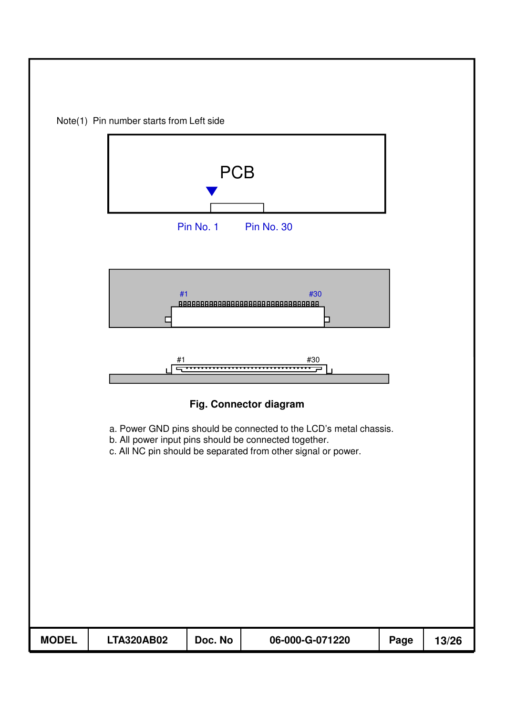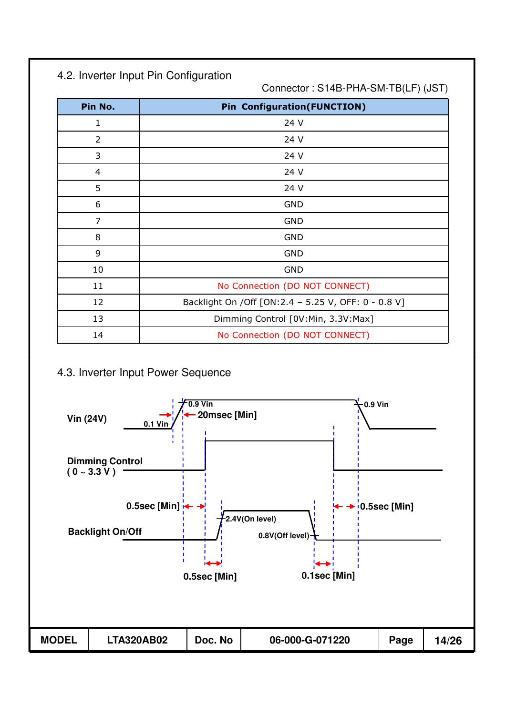## 4.2. Inverter Input Pin Configuration

Connector : S14B-PHA-SM-TB(LF) (JST)

| Pin No.        | <b>Pin Configuration (FUNCTION)</b>                   |
|----------------|-------------------------------------------------------|
| 1              | 24 V                                                  |
| $\overline{2}$ | 24 V                                                  |
| 3              | 24 V                                                  |
| 4              | 24 V                                                  |
| 5              | 24 V                                                  |
| 6              | <b>GND</b>                                            |
| 7              | <b>GND</b>                                            |
| 8              | <b>GND</b>                                            |
| 9              | <b>GND</b>                                            |
| 10             | <b>GND</b>                                            |
| 11             | No Connection (DO NOT CONNECT)                        |
| 12             | Backlight On / Off [ON: 2.4 - 5.25 V, OFF: 0 - 0.8 V] |
| 13             | Dimming Control [0V:Min, 3.3V:Max]                    |
| 14             | No Connection (DO NOT CONNECT)                        |

#### 4.3. Inverter Input Power Sequence

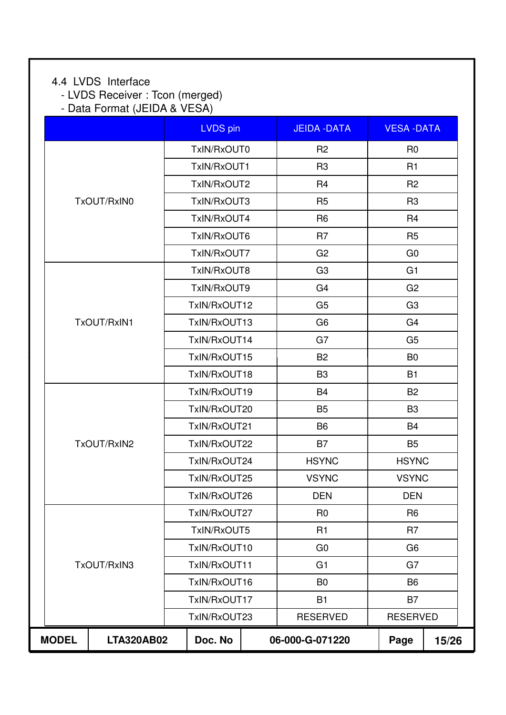## 4.4 LVDS Interface

- LVDS Receiver : Tcon (merged)

- Data Format (JEIDA & VESA)

|              |                   | LVDS pin     | <b>JEIDA - DATA</b> |                | <b>VESA-DATA</b> |       |  |
|--------------|-------------------|--------------|---------------------|----------------|------------------|-------|--|
|              |                   | TxIN/RxOUT0  | R <sub>2</sub>      |                | R <sub>0</sub>   |       |  |
|              |                   | TxIN/RxOUT1  | R <sub>3</sub>      |                | R1               |       |  |
|              |                   | TxIN/RxOUT2  | R <sub>4</sub>      |                | R <sub>2</sub>   |       |  |
|              | TxOUT/RxIN0       | TxIN/RxOUT3  | R <sub>5</sub>      |                | R <sub>3</sub>   |       |  |
|              |                   | TxIN/RxOUT4  | R <sub>6</sub>      |                | R <sub>4</sub>   |       |  |
|              |                   | TxIN/RxOUT6  | R <sub>7</sub>      |                | R <sub>5</sub>   |       |  |
|              |                   | TxIN/RxOUT7  | G <sub>2</sub>      |                | G <sub>0</sub>   |       |  |
|              |                   | TxIN/RxOUT8  | G <sub>3</sub>      |                | G <sub>1</sub>   |       |  |
|              |                   | TxIN/RxOUT9  | G <sub>4</sub>      |                | G <sub>2</sub>   |       |  |
|              |                   | TxIN/RxOUT12 | G <sub>5</sub>      |                | G <sub>3</sub>   |       |  |
|              | TxOUT/RxIN1       | TxIN/RxOUT13 | G <sub>6</sub>      |                | G <sub>4</sub>   |       |  |
|              |                   | TxIN/RxOUT14 | G7                  |                | G <sub>5</sub>   |       |  |
|              |                   | TxIN/RxOUT15 | <b>B2</b>           |                | B <sub>0</sub>   |       |  |
|              |                   | TxIN/RxOUT18 | B <sub>3</sub>      |                | <b>B1</b>        |       |  |
|              |                   | TxIN/RxOUT19 | <b>B4</b>           |                | B <sub>2</sub>   |       |  |
|              |                   | TxIN/RxOUT20 | <b>B5</b>           |                | B <sub>3</sub>   |       |  |
|              |                   | TxIN/RxOUT21 | B <sub>6</sub>      |                | <b>B4</b>        |       |  |
|              | TxOUT/RxIN2       | TxIN/RxOUT22 | <b>B7</b>           |                | B <sub>5</sub>   |       |  |
|              |                   | TxIN/RxOUT24 | <b>HSYNC</b>        |                | <b>HSYNC</b>     |       |  |
|              |                   | TxIN/RxOUT25 | <b>VSYNC</b>        |                | <b>VSYNC</b>     |       |  |
|              |                   | TxIN/RxOUT26 | <b>DEN</b>          |                | <b>DEN</b>       |       |  |
|              |                   | TxIN/RxOUT27 | R <sub>0</sub>      |                | R <sub>6</sub>   |       |  |
|              |                   | TxIN/RxOUT5  | R1                  |                |                  |       |  |
|              |                   | TxIN/RxOUT10 | G <sub>0</sub>      |                | G <sub>6</sub>   |       |  |
|              | TxOUT/RxIN3       | TxIN/RxOUT11 | G <sub>1</sub>      |                | G7               |       |  |
|              |                   | TxIN/RxOUT16 | B <sub>0</sub>      | B <sub>6</sub> |                  |       |  |
|              |                   | TxIN/RxOUT17 | <b>B1</b>           | <b>B7</b>      |                  |       |  |
|              |                   | TxIN/RxOUT23 | <b>RESERVED</b>     |                | <b>RESERVED</b>  |       |  |
| <b>MODEL</b> | <b>LTA320AB02</b> | Doc. No      | 06-000-G-071220     |                | Page             | 15/26 |  |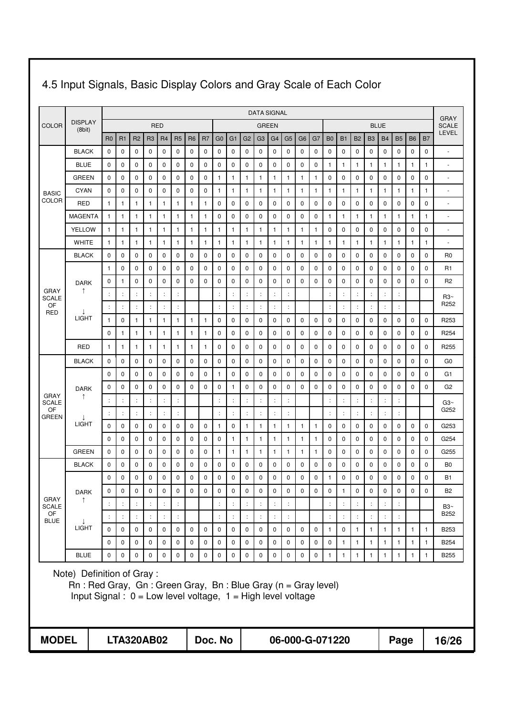|                      |                                                                                                                                                                  |                      |                      |                      |                   |                      |                      |                |                |                      |                |                      |                | <b>DATA SIGNAL</b>   |                      |                |              |                      |                      |                |                      |                |                      |              |                | <b>GRAY</b>              |
|----------------------|------------------------------------------------------------------------------------------------------------------------------------------------------------------|----------------------|----------------------|----------------------|-------------------|----------------------|----------------------|----------------|----------------|----------------------|----------------|----------------------|----------------|----------------------|----------------------|----------------|--------------|----------------------|----------------------|----------------|----------------------|----------------|----------------------|--------------|----------------|--------------------------|
| <b>COLOR</b>         | <b>DISPLAY</b><br>(8bit)                                                                                                                                         |                      |                      |                      |                   | <b>RED</b>           |                      |                |                |                      |                |                      | <b>GREEN</b>   |                      |                      |                |              |                      |                      |                |                      | <b>BLUE</b>    |                      |              |                | <b>SCALE</b>             |
|                      |                                                                                                                                                                  | R <sub>0</sub>       | R1                   | R <sub>2</sub>       | R <sub>3</sub>    | R <sub>4</sub>       | R <sub>5</sub>       | R <sub>6</sub> | R <sub>7</sub> | G <sub>0</sub>       | G <sub>1</sub> | G <sub>2</sub>       | G <sub>3</sub> | G <sub>4</sub>       | G <sub>5</sub>       | G <sub>6</sub> | G7           | B <sub>0</sub>       | <b>B1</b>            | B <sub>2</sub> | B <sub>3</sub>       | <b>B4</b>      | <b>B5</b>            | <b>B6</b>    | B <sub>7</sub> | LEVEL                    |
|                      | <b>BLACK</b>                                                                                                                                                     | $\mathbf 0$          | 0                    | 0                    | 0                 | 0                    | $\mathbf 0$          | 0              | 0              | 0                    | 0              | $\mathbf 0$          | 0              | 0                    | $\mathbf 0$          | 0              | 0            | 0                    | 0                    | 0              | 0                    | $\mathbf 0$    | $\mathbf 0$          | 0            | 0              |                          |
|                      | <b>BLUE</b>                                                                                                                                                      | 0                    | 0                    | 0                    | 0                 | $\mathbf 0$          | $\mathbf 0$          | 0              | 0              | 0                    | $\mathbf 0$    | $\mathbf 0$          | 0              | 0                    | $\mathbf 0$          | 0              | $\mathbf 0$  | 1                    | 1                    | 1              | 1                    | $\mathbf{1}$   | $\mathbf{1}$         | 1            | 1              | $\overline{\phantom{a}}$ |
|                      | <b>GREEN</b>                                                                                                                                                     | 0                    | 0                    | 0                    | 0                 | 0                    | $\mathbf 0$          | 0              | 0              | 1                    | 1              | 1                    | 1              | $\mathbf{1}$         | 1                    | 1              | $\mathbf{1}$ | 0                    | 0                    | 0              | 0                    | $\mathbf 0$    | $\mathbf 0$          | 0            | 0              | $\sim$                   |
| <b>BASIC</b>         | <b>CYAN</b>                                                                                                                                                      | 0                    | 0                    | 0                    | 0                 | 0                    | $\mathbf 0$          | 0              | 0              | 1                    | 1              | 1                    | $\mathbf{1}$   | $\mathbf{1}$         | $\mathbf{1}$         | 1              | $\mathbf{1}$ | 1                    | 1                    | 1              | 1                    | $\mathbf{1}$   | 1                    | 1            | 1              | $\sim$                   |
| <b>COLOR</b>         | RED                                                                                                                                                              | 1                    | 1                    | $\mathbf{1}$         | 1                 | $\mathbf{1}$         | 1                    | 1              | 1              | 0                    | 0              | 0                    | 0              | 0                    | 0                    | 0              | 0            | 0                    | 0                    | 0              | 0                    | 0              | $\mathbf 0$          | 0            | 0              | $\sim$                   |
|                      | <b>MAGENTA</b>                                                                                                                                                   | $\mathbf{1}$         | 1                    | 1                    | 1                 | $\mathbf{1}$         | $\mathbf{1}$         | 1              | $\mathbf{1}$   | 0                    | 0              | 0                    | 0              | $\mathbf 0$          | $\mathbf 0$          | 0              | 0            | 1                    | 1                    | 1              | 1                    | $\mathbf{1}$   | 1                    | 1            | 1              | $\sim$                   |
|                      | <b>YELLOW</b>                                                                                                                                                    | $\mathbf{1}$         | 1                    | 1                    | 1                 | 1                    | $\mathbf{1}$         | 1              | $\mathbf{1}$   | -1                   | 1              | $\mathbf{1}$         | 1              | $\mathbf{1}$         | 1                    | -1             | $\mathbf{1}$ | 0                    | 0                    | 0              | 0                    | 0              | $\mathbf 0$          | 0            | 0              | $\sim$                   |
|                      | <b>WHITE</b>                                                                                                                                                     | $\mathbf{1}$         | 1                    | $\mathbf{1}$         | 1                 | $\mathbf{1}$         | $\mathbf{1}$         | $\mathbf{1}$   | $\mathbf{1}$   | 1                    | 1              | $\mathbf{1}$         | 1              | $\mathbf{1}$         | $\mathbf{1}$         | $\mathbf{1}$   | $\mathbf{1}$ | $\mathbf{1}$         | 1                    | $\mathbf{1}$   | 1                    | $\mathbf{1}$   | $\mathbf{1}$         | $\mathbf{1}$ | 1              |                          |
|                      | <b>BLACK</b>                                                                                                                                                     | 0                    | 0                    | $\mathbf 0$          | 0                 | 0                    | $\mathbf 0$          | 0              | 0              | 0                    | 0              | $\mathbf 0$          | 0              | 0                    | $\mathbf 0$          | 0              | $\mathbf 0$  | 0                    | 0                    | $\mathbf 0$    | 0                    | $\mathbf 0$    | $\mathbf 0$          | 0            | 0              | R <sub>0</sub>           |
|                      |                                                                                                                                                                  | 1                    | 0                    | 0                    | 0                 | 0                    | 0                    | 0              | 0              | 0                    | 0              | 0                    | 0              | 0                    | 0                    | 0              | 0            | 0                    | 0                    | 0              | 0                    | 0              | 0                    | 0            | 0              | R1                       |
|                      | <b>DARK</b>                                                                                                                                                      | 0                    | 1                    | 0                    | 0                 | 0                    | $\mathbf 0$          | $\mathbf 0$    | $\mathbf 0$    | 0                    | 0              | 0                    | 0              | 0                    | $\mathbf 0$          | $\mathbf 0$    | $\mathbf 0$  | 0                    | 0                    | 0              | 0                    | 0              | 0                    | 0            | 0              | R <sub>2</sub>           |
| GRAY<br><b>SCALE</b> | ↑                                                                                                                                                                | $\ddot{\phantom{a}}$ |                      | $\ddot{\cdot}$       | $\ddot{\cdot}$    | ÷                    | $\ddot{\cdot}$       |                |                | $\ddot{\phantom{a}}$ | ÷              | $\ddot{\phantom{a}}$ | $\ddot{\cdot}$ | ÷                    |                      |                |              | $\ddot{\phantom{a}}$ | $\ddot{\phantom{a}}$ | $\ddot{\cdot}$ | $\ddot{\phantom{a}}$ | ÷              | $\ddot{\cdot}$       |              |                | R3~                      |
| OF<br><b>RED</b>     |                                                                                                                                                                  | ÷                    |                      | $\ddot{\cdot}$       |                   | ÷                    | $\ddot{\cdot}$       |                |                | $\ddot{\cdot}$       |                | $\ddot{\cdot}$       |                | t,                   |                      |                |              | ÷                    | $\ddot{\cdot}$       | $\ddot{\cdot}$ |                      | ÷              | $\ddot{\cdot}$       |              |                | R <sub>252</sub>         |
|                      | <b>LIGHT</b>                                                                                                                                                     | 1                    | 0                    | 1                    | 1                 | 1                    | -1                   | 1              | 1              | 0                    | 0              | 0                    | 0              | 0                    | $\mathbf 0$          | 0              | 0            | 0                    | 0                    | 0              | 0                    | 0              | 0                    | 0            | 0              | R <sub>253</sub>         |
|                      |                                                                                                                                                                  | 0                    | 1                    | 1                    | 1                 | $\mathbf{1}$         | $\mathbf{1}$         | 1              | $\mathbf{1}$   | 0                    | 0              | 0                    | 0              | 0                    | $\mathbf 0$          | 0              | 0            | 0                    | 0                    | 0              | 0                    | $\mathbf 0$    | 0                    | 0            | 0              | R254                     |
|                      | RED                                                                                                                                                              | 1                    | 1                    | 1                    | 1                 | 1                    | 1                    | 1              | 1              | 0                    | 0              | 0                    | 0              | 0                    | 0                    | 0              | 0            | 0                    | 0                    | 0              | 0                    | 0              | 0                    | 0            | 0              | R <sub>255</sub>         |
|                      | <b>BLACK</b>                                                                                                                                                     | 0                    | 0                    | 0                    | 0                 | 0                    | 0                    | 0              | 0              | 0                    | 0              | 0                    | 0              | 0                    | 0                    | 0              | $\mathbf 0$  | 0                    | $\mathbf 0$          | 0              | 0                    | $\mathbf 0$    | 0                    | 0            | 0              | G <sub>0</sub>           |
|                      |                                                                                                                                                                  | 0                    | 0                    | 0                    | 0                 | 0                    | 0                    | 0              | 0              | 1                    | 0              | 0                    | 0              | 0                    | 0                    | 0              | 0            | 0                    | $\mathbf 0$          | 0              | 0                    | $\mathbf 0$    | 0                    | 0            | 0              | G1                       |
| GRAY                 | <b>DARK</b><br>↑                                                                                                                                                 | 0                    | 0                    | 0                    | 0                 | $\mathbf 0$          | $\mathbf 0$          | 0              | $\mathbf 0$    | 0                    | 1              | $\mathbf 0$          | 0              | 0                    | $\mathbf 0$          | 0              | $\mathbf 0$  | 0                    | 0                    | 0              | 0                    | $\mathbf 0$    | $\mathbf 0$          | 0            | 0              | G <sub>2</sub>           |
| SCALE                |                                                                                                                                                                  | ÷                    | ÷                    | $\ddot{\cdot}$       | ÷                 | $\ddot{\cdot}$       | ÷                    |                |                | $\ddot{\cdot}$       | $\ddot{\cdot}$ | $\ddot{\cdot}$       | ÷              | $\vdots$             | ÷                    |                |              | $\ddot{\cdot}$       | ÷                    | $\ddot{\cdot}$ | ÷                    | $\ddot{\cdot}$ | ÷                    |              |                | Ga2~                     |
| OF<br><b>GREEN</b>   |                                                                                                                                                                  | ÷                    | $\ddot{\cdot}$       | $\ddot{\cdot}$       | $\ddot{\cdot}$    | $\ddot{\cdot}$       | $\ddot{\cdot}$       |                |                | $\ddot{\cdot}$       | $\ddot{\cdot}$ | $\ddot{\phantom{a}}$ | $\ddot{\cdot}$ | $\ddot{\phantom{a}}$ | $\ddot{\cdot}$       |                |              | $\ddot{\phantom{a}}$ | $\ddot{\phantom{a}}$ | $\ddot{\cdot}$ | ÷                    | ÷              | $\ddot{\cdot}$       |              |                | G252                     |
|                      | <b>LIGHT</b>                                                                                                                                                     | $\mathbf 0$          | 0                    | 0                    | 0                 | $\mathbf 0$          | $\mathbf 0$          | 0              | 0              | 1                    | 0              | 1                    | 1              | 1                    | 1                    | -1             | $\mathbf{1}$ | 0                    | 0                    | 0              | 0                    | $\mathbf 0$    | 0                    | $\mathbf 0$  | 0              | G253                     |
|                      |                                                                                                                                                                  | $\mathbf 0$          | 0                    | 0                    | 0                 | 0                    | $\mathbf 0$          | 0              | 0              | 0                    | 1              | $\mathbf{1}$         | 1              | $\mathbf{1}$         | 1                    | -1             | 1            | 0                    | 0                    | 0              | 0                    | 0              | 0                    | 0            | 0              | G254                     |
|                      | <b>GREEN</b>                                                                                                                                                     | $\mathbf 0$          | $\mathbf 0$          | 0                    | 0                 | $\mathbf 0$          | $\mathbf 0$          | $\mathbf 0$    | 0              | 1                    | 1              | 1                    | 1              | $\mathbf{1}$         | $\mathbf{1}$         | $\mathbf{1}$   | $\mathbf{1}$ | 0                    | 0                    | 0              | 0                    | $\mathbf 0$    | $\mathbf 0$          | 0            | 0              | G255                     |
|                      | <b>BLACK</b>                                                                                                                                                     | 0                    | 0                    | 0                    | 0                 | 0                    | $\mathbf 0$          | 0              | 0              | 0                    | 0              | 0                    | 0              | 0                    | 0                    | $\mathbf 0$    | 0            | 0                    | 0                    | 0              | 0                    | 0              | 0                    | 0            | 0              | B <sub>0</sub>           |
|                      |                                                                                                                                                                  | $\mathbf 0$          | $\mathbf 0$          | $\mathbf 0$          | 0                 | $\mathbf 0$          | $\mathbf 0$          | 0              | 0              | $\mathbf 0$          | $\mathbf 0$    | $\mathbf 0$          | 0              | $\mathbf 0$          | $\mathbf 0$          | 0              | $\mathbf 0$  | 1                    | 0                    | $\mathbf 0$    | 0                    | $\mathbf 0$    | $\mathbf 0$          | 0            | 0              | <b>B1</b>                |
| <b>GRAY</b>          | <b>DARK</b>                                                                                                                                                      | 0                    | $\mathbf 0$          | $\mathbf 0$          | 0                 | $\mathbf 0$          | $\mathbf 0$          | 0              | $\mathbf 0$    | $\mathbf 0$          | $\mathbf 0$    | $\mathbf 0$          | $\mathbf 0$    | 0                    | $\mathbf 0$          | $\mathbf 0$    | $\mathbf 0$  | 0                    | $\mathbf{1}$         | $\mathbf 0$    | 0                    | 0              | $\mathbf 0$          | $\mathbf 0$  | $\mathbf 0$    | <b>B2</b>                |
| <b>SCALE</b><br>OF   |                                                                                                                                                                  |                      | $\ddot{\cdot}$       |                      |                   | $\ddot{\cdot}$       |                      |                |                | ÷                    | ÷              |                      |                | $\ddot{\cdot}$       |                      |                |              | $\ddot{\cdot}$       | ÷                    |                |                      | ÷              |                      |              |                | B3~<br>B252              |
| <b>BLUE</b>          | <b>LIGHT</b>                                                                                                                                                     | $\ddot{\phantom{a}}$ | $\ddot{\phantom{a}}$ | $\ddot{\phantom{a}}$ | $\ddot{\cdot}$    | $\ddot{\phantom{a}}$ | $\ddot{\phantom{a}}$ |                |                | $\ddot{\cdot}$       | ÷              | $\ddot{\phantom{a}}$ | $\ddot{\cdot}$ | $\ddot{\phantom{a}}$ | $\ddot{\phantom{a}}$ |                |              | $\ddot{\phantom{a}}$ | ÷                    | ÷              |                      | ÷              | $\ddot{\phantom{a}}$ |              |                |                          |
|                      |                                                                                                                                                                  | $\mathbf 0$          | $\mathbf 0$          | $\pmb{0}$            | 0                 | $\mathbf 0$          | $\pmb{0}$            | 0              | $\mathbf 0$    | 0                    | 0              | $\pmb{0}$            | 0              | $\mathbf 0$          | $\mathbf 0$          | 0              | $\mathbf 0$  | $\mathbf{1}$         | $\mathbf 0$          | $\mathbf{1}$   | $\mathbf{1}$         | $\mathbf{1}$   | $\mathbf{1}$         | $\mathbf{1}$ | $\mathbf{1}$   | <b>B253</b>              |
|                      |                                                                                                                                                                  | $\Omega$             | $\mathbf 0$          | $\pmb{0}$            | 0                 | $\mathbf 0$          | $\pmb{0}$            | 0              | $\pmb{0}$      | $\mathbf 0$          | $\mathsf 0$    | $\pmb{0}$            | $\mathbf 0$    | $\mathbf 0$          | $\pmb{0}$            | $\mathbf 0$    | $\pmb{0}$    | $\pmb{0}$            | $\mathbf{1}$         | $\mathbf{1}$   | $\mathbf{1}$         | $\mathbf{1}$   | $\overline{1}$       | $\mathbf{1}$ | $\mathbf{1}$   | <b>B254</b>              |
|                      | <b>BLUE</b>                                                                                                                                                      | 0                    | $\mathbf 0$          | $\mathbf 0$          | 0                 | $\mathbf 0$          | $\mathbf 0$          | 0              | $\mathbf 0$    | $\pmb{0}$            | 0              | $\pmb{0}$            | 0              | $\pmb{0}$            | $\mathbf 0$          | 0              | $\mathbf 0$  | $\mathbf{1}$         | 1                    | $\mathbf{1}$   | $\mathbf{1}$         | $\mathbf{1}$   | $\overline{1}$       | $\mathbf{1}$ | $\mathbf{1}$   | B255                     |
|                      | Note) Definition of Gray:<br>$Rn$ : Red Gray, Gn: Green Gray, Bn: Blue Gray (n = Gray level)<br>Input Signal : $0 = Low$ level voltage, $1 = High$ level voltage |                      |                      |                      |                   |                      |                      |                |                |                      |                |                      |                |                      |                      |                |              |                      |                      |                |                      |                |                      |              |                |                          |
| <b>MODEL</b>         |                                                                                                                                                                  |                      |                      |                      | <b>LTA320AB02</b> |                      |                      |                | Doc. No        |                      |                |                      |                |                      |                      |                |              |                      | 06-000-G-071220      |                |                      |                | Page                 |              |                | 16/26                    |

## 4.5 Input Signals, Basic Display Colors and Gray Scale of Each Color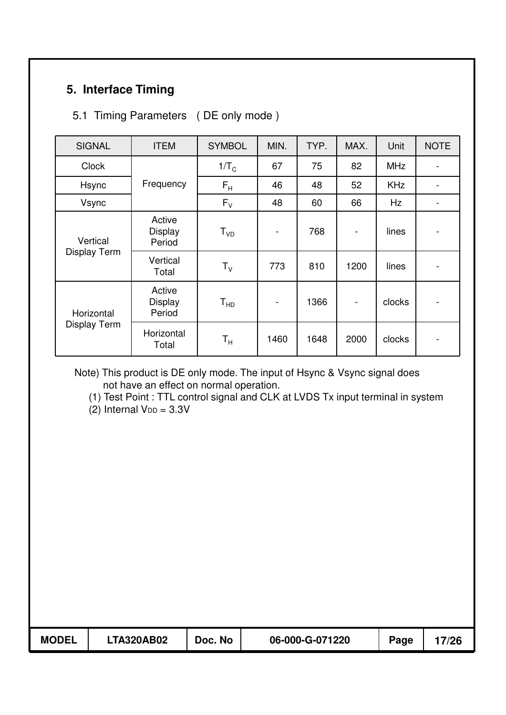## **5. Interface Timing**

#### 5.1 Timing Parameters ( DE only mode )

| <b>SIGNAL</b>                     | <b>ITEM</b>                        | <b>SYMBOL</b>           | MIN.           | TYP. | MAX.                     | Unit       | <b>NOTE</b>              |
|-----------------------------------|------------------------------------|-------------------------|----------------|------|--------------------------|------------|--------------------------|
| <b>Clock</b>                      |                                    | $1/T_C$                 | 67             | 75   | 82                       | <b>MHz</b> | $\overline{\phantom{a}}$ |
| Hsync                             | Frequency                          | $F_H$                   | 46             | 48   | 52                       | <b>KHz</b> | $\overline{\phantom{a}}$ |
| Vsync                             |                                    | $F_{V}$                 | 48             | 60   | 66                       | Hz         | $\blacksquare$           |
| Vertical<br>Display Term          | Active<br><b>Display</b><br>Period | $T_{VD}$                | $\overline{a}$ | 768  | $\overline{\phantom{a}}$ | lines      | $\overline{\phantom{a}}$ |
|                                   | Vertical<br>Total                  | $T_{V}$                 | 773            | 810  | 1200                     | lines      | $\overline{\phantom{a}}$ |
| Horizontal<br><b>Display Term</b> | Active<br><b>Display</b><br>Period | $T_{HD}$                |                | 1366 | $\overline{\phantom{m}}$ | clocks     | $\overline{\phantom{a}}$ |
|                                   | Horizontal<br>Total                | $\mathsf{T}_\mathsf{H}$ | 1460           | 1648 | 2000                     | clocks     | $\overline{\phantom{0}}$ |

Note) This product is DE only mode. The input of Hsync & Vsync signal does not have an effect on normal operation.

(1) Test Point : TTL control signal and CLK at LVDS Tx input terminal in system

 $(2)$  Internal V<sub>DD</sub> = 3.3V

| <b>MODEL</b> | <b>LTA320AB02</b> | Doc. No | 06-000-G-071220 | Page | 7/26 |
|--------------|-------------------|---------|-----------------|------|------|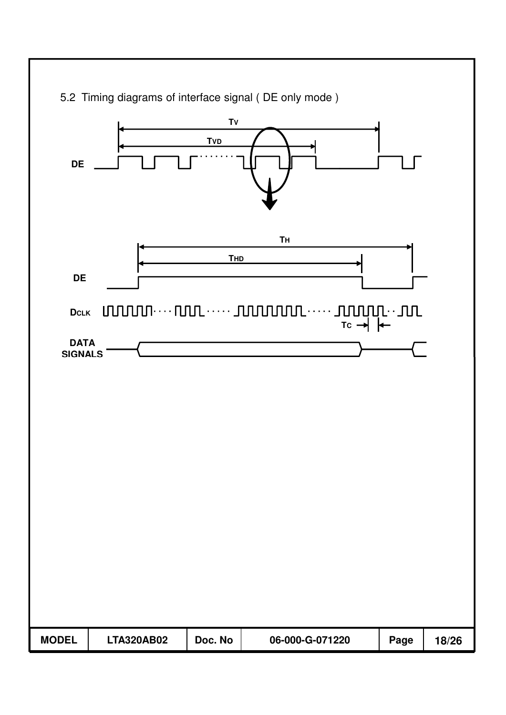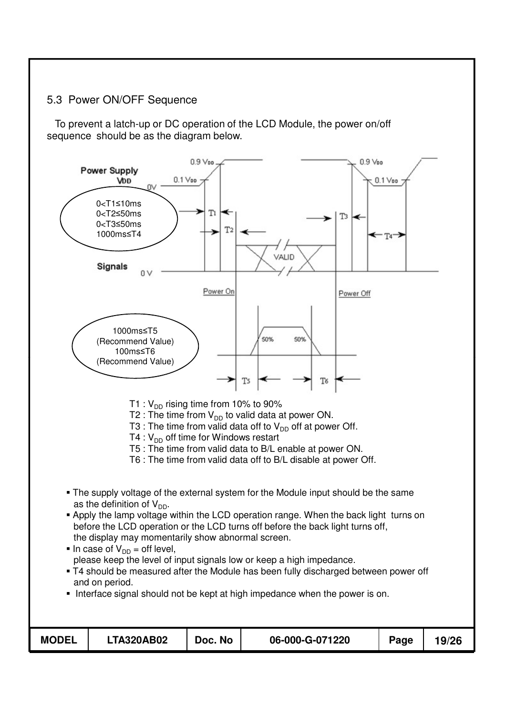#### 5.3 Power ON/OFF Sequence

To prevent a latch-up or DC operation of the LCD Module, the power on/off sequence should be as the diagram below.

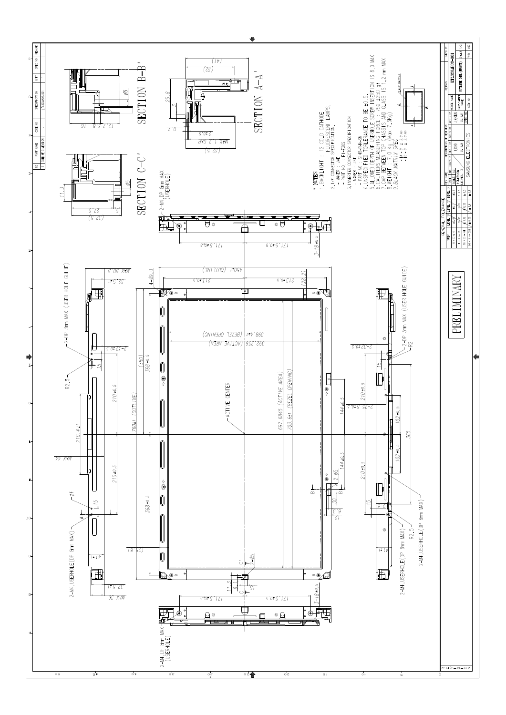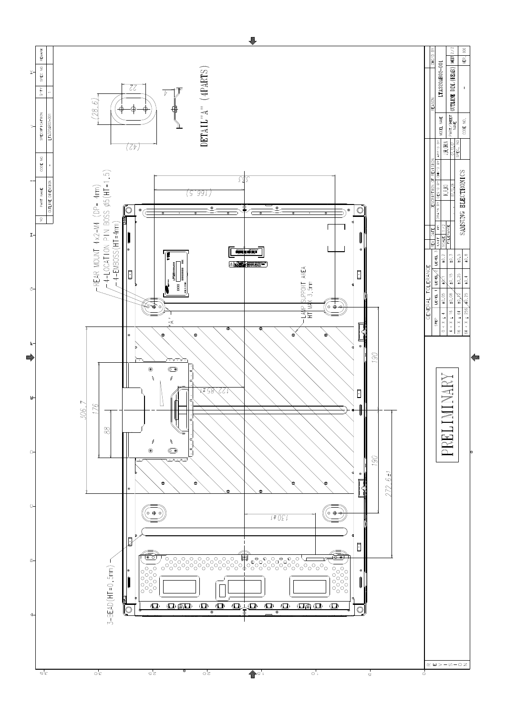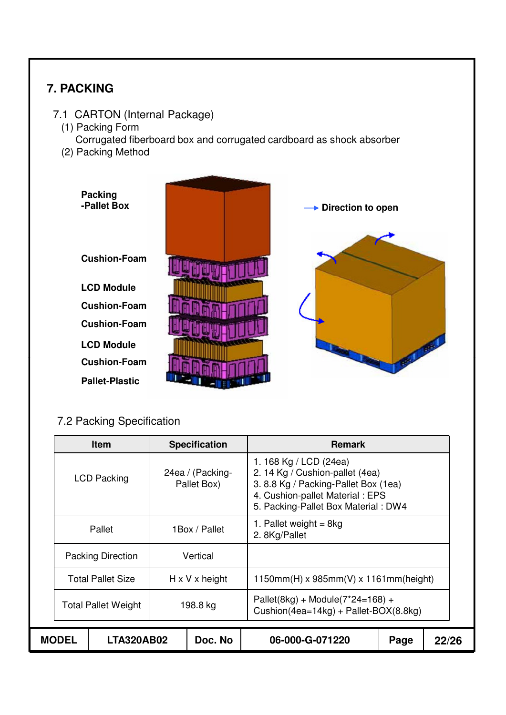## **7. PACKING**

- 7.1 CARTON (Internal Package)
	- (1) Packing Form Corrugated fiberboard box and corrugated cardboard as shock absorber
	- (2) Packing Method



## 7.2 Packing Specification

|                     | <b>Item</b>              |                            | <b>Specification</b>            | <b>Remark</b>                                                                                                                                                             |  |       |  |  |
|---------------------|--------------------------|----------------------------|---------------------------------|---------------------------------------------------------------------------------------------------------------------------------------------------------------------------|--|-------|--|--|
| <b>LCD Packing</b>  |                          |                            | 24ea / (Packing-<br>Pallet Box) | 1.168 Kg / LCD (24ea)<br>2. 14 Kg / Cushion-pallet (4ea)<br>3.8.8 Kg / Packing-Pallet Box (1ea)<br>4. Cushion-pallet Material: EPS<br>5. Packing-Pallet Box Material: DW4 |  |       |  |  |
| Pallet              |                          |                            | 1 Box / Pallet                  | 1. Pallet weight = $8kg$<br>2. 8Kg/Pallet                                                                                                                                 |  |       |  |  |
|                     | <b>Packing Direction</b> |                            | Vertical                        |                                                                                                                                                                           |  |       |  |  |
|                     | <b>Total Pallet Size</b> | $H \times V \times$ height |                                 | $1150mm(H)$ x 985mm(V) x 1161mm(height)                                                                                                                                   |  |       |  |  |
| Total Pallet Weight |                          |                            | 198.8 kg                        | Pallet(8kg) + Module( $7*24=168$ ) +<br>Cushion(4ea=14kg) + Pallet-BOX(8.8kg)                                                                                             |  |       |  |  |
| <b>MODEL</b>        | LTA320AB02               |                            | Doc. No                         | 06-000-G-071220<br>Page                                                                                                                                                   |  | 22/26 |  |  |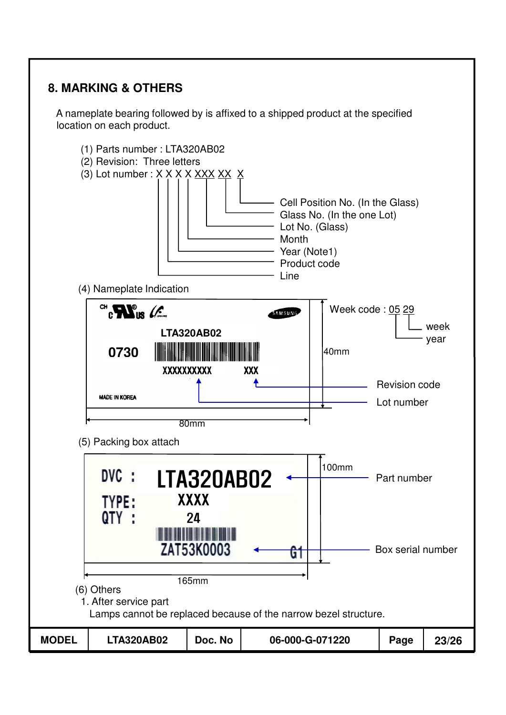## **8. MARKING & OTHERS**

A nameplate bearing followed by is affixed to a shipped product at the specified location on each product.

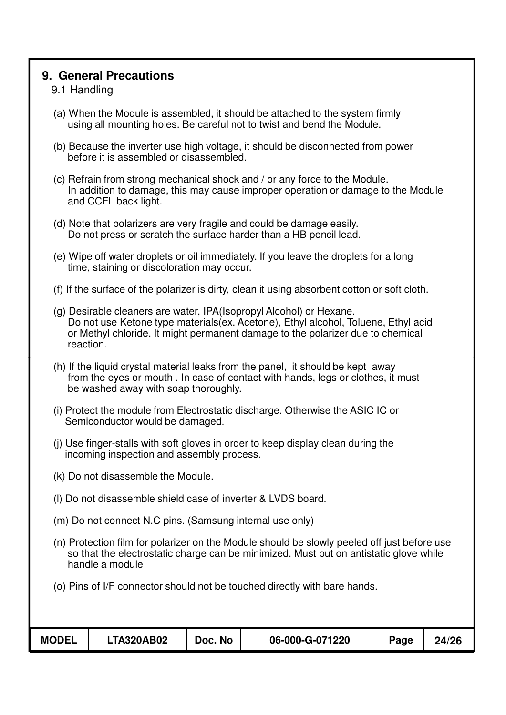#### **9. General Precautions**

#### 9.1 Handling

- (a) When the Module is assembled, it should be attached to the system firmly using all mounting holes. Be careful not to twist and bend the Module.
- (b) Because the inverter use high voltage, it should be disconnected from power before it is assembled or disassembled.
- (c) Refrain from strong mechanical shock and / or any force to the Module. In addition to damage, this may cause improper operation or damage to the Module and CCFL back light.
- (d) Note that polarizers are very fragile and could be damage easily. Do not press or scratch the surface harder than a HB pencil lead.
- (e) Wipe off water droplets or oil immediately. If you leave the droplets for a long time, staining or discoloration may occur.
- (f) If the surface of the polarizer is dirty, clean it using absorbent cotton or soft cloth.
- (g) Desirable cleaners are water, IPA(Isopropyl Alcohol) or Hexane. Do not use Ketone type materials(ex. Acetone), Ethyl alcohol, Toluene, Ethyl acid or Methyl chloride. It might permanent damage to the polarizer due to chemical reaction.
- (h) If the liquid crystal material leaks from the panel, it should be kept away from the eyes or mouth . In case of contact with hands, legs or clothes, it must be washed away with soap thoroughly.
- (i) Protect the module from Electrostatic discharge. Otherwise the ASIC IC or Semiconductor would be damaged.
- (j) Use finger-stalls with soft gloves in order to keep display clean during the incoming inspection and assembly process.
- (k) Do not disassemble the Module.
- (l) Do not disassemble shield case of inverter & LVDS board.
- (m) Do not connect N.C pins. (Samsung internal use only)
- (n) Protection film for polarizer on the Module should be slowly peeled off just before use so that the electrostatic charge can be minimized. Must put on antistatic glove while handle a module
- (o) Pins of I/F connector should not be touched directly with bare hands.

| <b>MODEL</b> | <b>LTA320AB02</b> | Doc. No | 06-000-G-071220 | Page | 24/26 |
|--------------|-------------------|---------|-----------------|------|-------|
|              |                   |         |                 |      |       |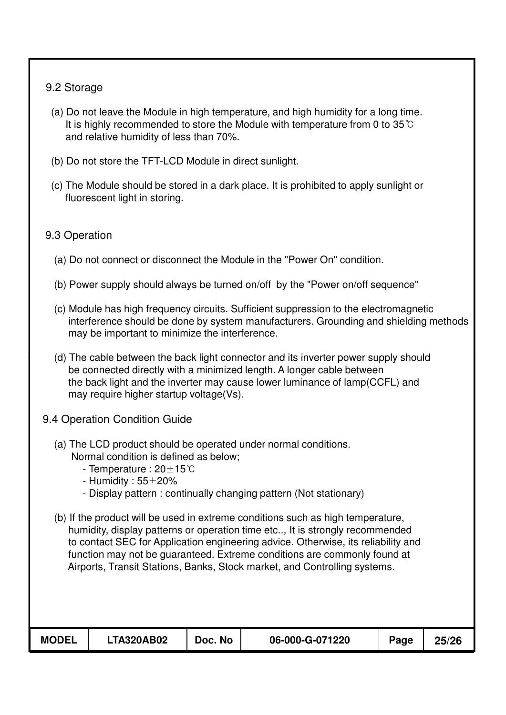#### 9.2 Storage

- (a) Do not leave the Module in high temperature, and high humidity for a long time. It is highly recommended to store the Module with temperature from 0 to  $35^{\circ}$ C and relative humidity of less than 70%.
- (b) Do not store the TFT-LCD Module in direct sunlight.
- (c) The Module should be stored in a dark place. It is prohibited to apply sunlight or fluorescent light in storing.

#### 9.3 Operation

- (a) Do not connect or disconnect the Module in the "Power On" condition.
- (b) Power supply should always be turned on/off by the "Power on/off sequence"
- (c) Module has high frequency circuits. Sufficient suppression to the electromagnetic interference should be done by system manufacturers. Grounding and shielding methods may be important to minimize the interference.
- (d) The cable between the back light connector and its inverter power supply should (d) The cable between the back light connector and its inverter power supply be connected directly with a minimized length. A longer cable between the back light and the inverter may cause lower luminance of lamp(CCFL) and may require higher startup voltage(Vs).
- 9.4 Operation Condition Guide
	- (a) The LCD product should be operated under normal conditions. Normal condition is defined as below;
		- Temperature :  $20 \pm 15^{\circ}$ C
		- Humidity :  $55\pm20\%$
		- Display pattern : continually changing pattern (Not stationary)
	- (b) If the product will be used in extreme conditions such as high temperature, humidity, display patterns or operation time etc.., It is strongly recommended to contact SEC for Application engineering advice. Otherwise, its reliability and function may not be guaranteed. Extreme conditions are commonly found at Airports, Transit Stations, Banks, Stock market, and Controlling systems.